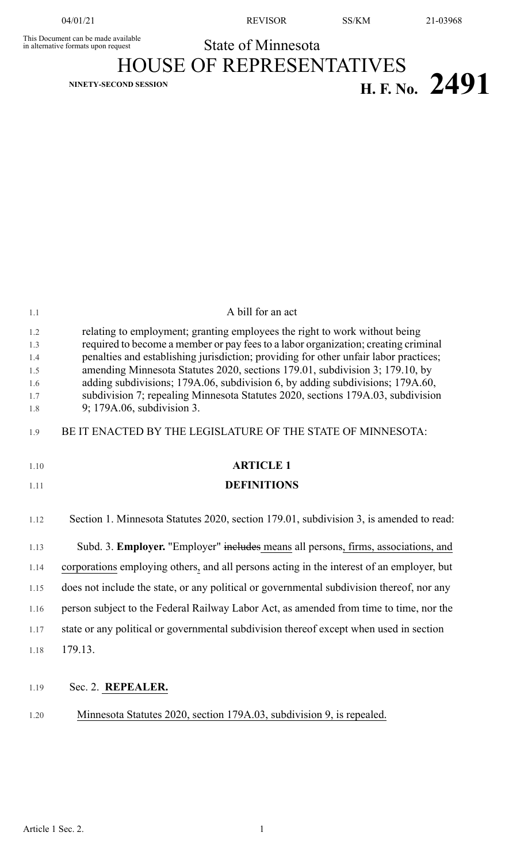04/01/21 REVISOR SS/KM 21-03968

This Document can be made available<br>in alternative formats upon request **State of Minnesota** HOUSE OF REPRESENTATIVES **H. F. No.** 2491

| $1.1\,$    | A bill for an act                                                                                                                                                |
|------------|------------------------------------------------------------------------------------------------------------------------------------------------------------------|
| 1.2        | relating to employment; granting employees the right to work without being                                                                                       |
| 1.3        | required to become a member or pay fees to a labor organization; creating criminal                                                                               |
| 1.4        | penalties and establishing jurisdiction; providing for other unfair labor practices;                                                                             |
| 1.5        | amending Minnesota Statutes 2020, sections 179.01, subdivision 3; 179.10, by                                                                                     |
| 1.6<br>1.7 | adding subdivisions; 179A.06, subdivision 6, by adding subdivisions; 179A.60,<br>subdivision 7; repealing Minnesota Statutes 2020, sections 179A.03, subdivision |
| $1.8\,$    | 9; 179A.06, subdivision 3.                                                                                                                                       |
| 1.9        | BE IT ENACTED BY THE LEGISLATURE OF THE STATE OF MINNESOTA:                                                                                                      |
| 1.10       | <b>ARTICLE 1</b>                                                                                                                                                 |
| 1.11       | <b>DEFINITIONS</b>                                                                                                                                               |
| 1.12       | Section 1. Minnesota Statutes 2020, section 179.01, subdivision 3, is amended to read:                                                                           |
| 1.13       | Subd. 3. Employer. "Employer" includes means all persons, firms, associations, and                                                                               |
| 1.14       | corporations employing others, and all persons acting in the interest of an employer, but                                                                        |
| 1.15       | does not include the state, or any political or governmental subdivision thereof, nor any                                                                        |
| 1.16       | person subject to the Federal Railway Labor Act, as amended from time to time, nor the                                                                           |
| 1.17       | state or any political or governmental subdivision thereof except when used in section                                                                           |
| 1.18       | 179.13.                                                                                                                                                          |
| 1.19       | Sec. 2. REPEALER.                                                                                                                                                |
| 1.20       | Minnesota Statutes 2020, section 179A.03, subdivision 9, is repealed.                                                                                            |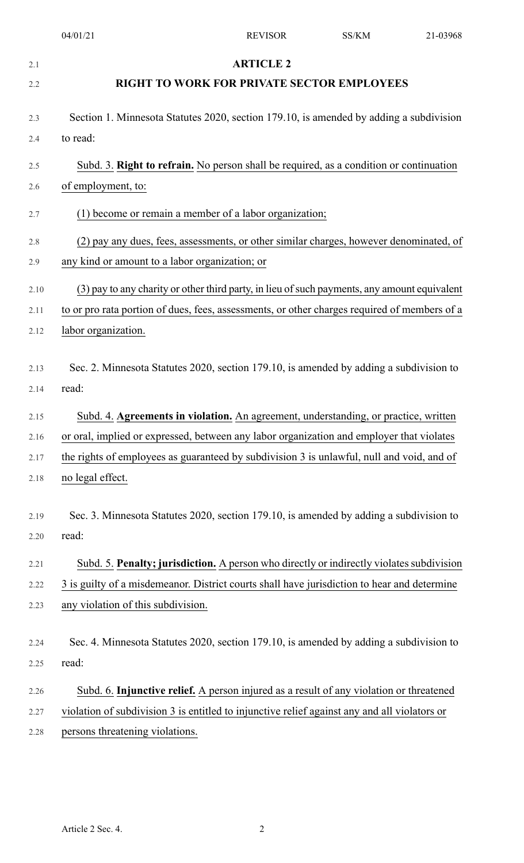|              | 04/01/21                                                                                           | <b>REVISOR</b>   | SS/KM | 21-03968 |
|--------------|----------------------------------------------------------------------------------------------------|------------------|-------|----------|
| 2.1          |                                                                                                    | <b>ARTICLE 2</b> |       |          |
| 2.2          | <b>RIGHT TO WORK FOR PRIVATE SECTOR EMPLOYEES</b>                                                  |                  |       |          |
|              |                                                                                                    |                  |       |          |
| 2.3          | Section 1. Minnesota Statutes 2020, section 179.10, is amended by adding a subdivision<br>to read: |                  |       |          |
| 2.4          |                                                                                                    |                  |       |          |
| 2.5          | Subd. 3. Right to refrain. No person shall be required, as a condition or continuation             |                  |       |          |
| 2.6          | of employment, to:                                                                                 |                  |       |          |
| 2.7          | (1) become or remain a member of a labor organization;                                             |                  |       |          |
| 2.8          | (2) pay any dues, fees, assessments, or other similar charges, however denominated, of             |                  |       |          |
| 2.9          | any kind or amount to a labor organization; or                                                     |                  |       |          |
| 2.10         | (3) pay to any charity or other third party, in lieu of such payments, any amount equivalent       |                  |       |          |
| 2.11         | to or pro rata portion of dues, fees, assessments, or other charges required of members of a       |                  |       |          |
| 2.12         | labor organization.                                                                                |                  |       |          |
| 2.13<br>2.14 | Sec. 2. Minnesota Statutes 2020, section 179.10, is amended by adding a subdivision to<br>read:    |                  |       |          |
| 2.15         | Subd. 4. Agreements in violation. An agreement, understanding, or practice, written                |                  |       |          |
| 2.16         | or oral, implied or expressed, between any labor organization and employer that violates           |                  |       |          |
| 2.17         | the rights of employees as guaranteed by subdivision 3 is unlawful, null and void, and of          |                  |       |          |
| 2.18         | no legal effect.                                                                                   |                  |       |          |
| 2.19<br>2.20 | Sec. 3. Minnesota Statutes 2020, section 179.10, is amended by adding a subdivision to<br>read:    |                  |       |          |
| 2.21         | Subd. 5. Penalty; jurisdiction. A person who directly or indirectly violates subdivision           |                  |       |          |
| 2.22         | 3 is guilty of a misdemeanor. District courts shall have jurisdiction to hear and determine        |                  |       |          |
| 2.23         | any violation of this subdivision.                                                                 |                  |       |          |
|              |                                                                                                    |                  |       |          |
| 2.24         | Sec. 4. Minnesota Statutes 2020, section 179.10, is amended by adding a subdivision to             |                  |       |          |
| 2.25         | read:                                                                                              |                  |       |          |
| 2.26         | Subd. 6. Injunctive relief. A person injured as a result of any violation or threatened            |                  |       |          |
| 2.27         | violation of subdivision 3 is entitled to injunctive relief against any and all violators or       |                  |       |          |
| 2.28         | persons threatening violations.                                                                    |                  |       |          |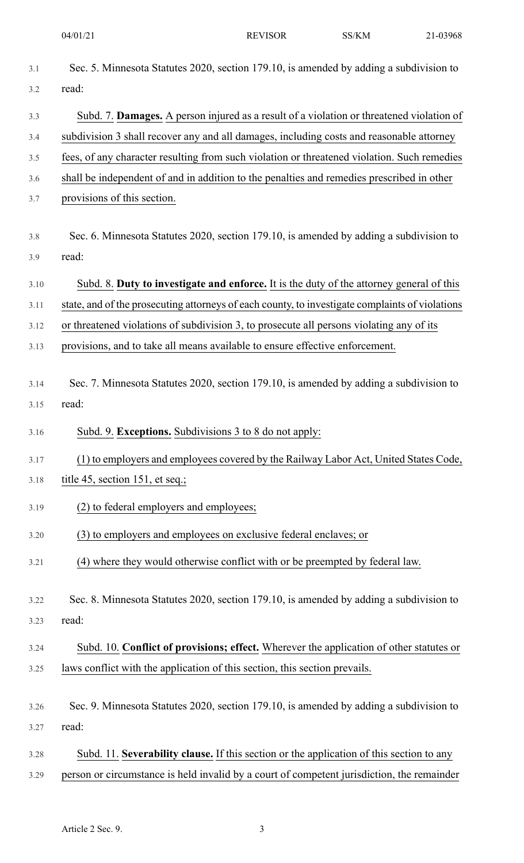04/01/21 REVISOR SS/KM

| 21-03968 |
|----------|
|          |

| 3.1  | Sec. 5. Minnesota Statutes 2020, section 179.10, is amended by adding a subdivision to          |
|------|-------------------------------------------------------------------------------------------------|
| 3.2  | read:                                                                                           |
| 3.3  | Subd. 7. Damages. A person injured as a result of a violation or threatened violation of        |
| 3.4  | subdivision 3 shall recover any and all damages, including costs and reasonable attorney        |
| 3.5  | fees, of any character resulting from such violation or threatened violation. Such remedies     |
| 3.6  | shall be independent of and in addition to the penalties and remedies prescribed in other       |
| 3.7  | provisions of this section.                                                                     |
| 3.8  | Sec. 6. Minnesota Statutes 2020, section 179.10, is amended by adding a subdivision to          |
| 3.9  | read:                                                                                           |
| 3.10 | Subd. 8. Duty to investigate and enforce. It is the duty of the attorney general of this        |
| 3.11 | state, and of the prosecuting attorneys of each county, to investigate complaints of violations |
| 3.12 | or threatened violations of subdivision 3, to prosecute all persons violating any of its        |
| 3.13 | provisions, and to take all means available to ensure effective enforcement.                    |
| 3.14 | Sec. 7. Minnesota Statutes 2020, section 179.10, is amended by adding a subdivision to          |
| 3.15 | read:                                                                                           |
| 3.16 | Subd. 9. Exceptions. Subdivisions 3 to 8 do not apply:                                          |
| 3.17 | (1) to employers and employees covered by the Railway Labor Act, United States Code,            |
| 3.18 | title 45, section 151, et seq.;                                                                 |
| 3.19 | (2) to federal employers and employees;                                                         |
| 3.20 | (3) to employers and employees on exclusive federal enclaves; or                                |
| 3.21 | (4) where they would otherwise conflict with or be preempted by federal law.                    |
| 3.22 | Sec. 8. Minnesota Statutes 2020, section 179.10, is amended by adding a subdivision to          |
| 3.23 | read:                                                                                           |
| 3.24 | Subd. 10. Conflict of provisions; effect. Wherever the application of other statutes or         |
| 3.25 | laws conflict with the application of this section, this section prevails.                      |
| 3.26 | Sec. 9. Minnesota Statutes 2020, section 179.10, is amended by adding a subdivision to          |
| 3.27 | read:                                                                                           |
| 3.28 | Subd. 11. Severability clause. If this section or the application of this section to any        |
| 3.29 | person or circumstance is held invalid by a court of competent jurisdiction, the remainder      |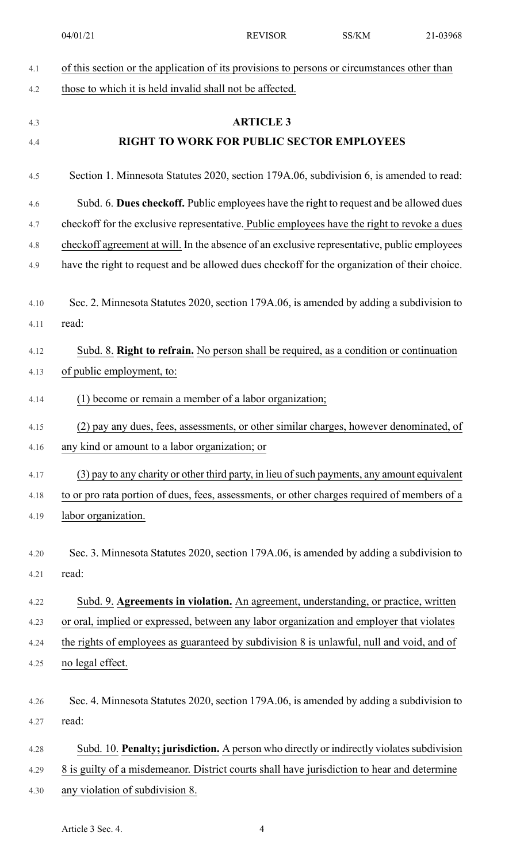04/01/21 REVISOR SS/KM 21-03968

| 4.1  | of this section or the application of its provisions to persons or circumstances other than  |
|------|----------------------------------------------------------------------------------------------|
| 4.2  | those to which it is held invalid shall not be affected.                                     |
| 4.3  | <b>ARTICLE 3</b>                                                                             |
| 4.4  | RIGHT TO WORK FOR PUBLIC SECTOR EMPLOYEES                                                    |
| 4.5  | Section 1. Minnesota Statutes 2020, section 179A.06, subdivision 6, is amended to read:      |
| 4.6  | Subd. 6. Dues checkoff. Public employees have the right to request and be allowed dues       |
| 4.7  | checkoff for the exclusive representative. Public employees have the right to revoke a dues  |
| 4.8  | checkoff agreement at will. In the absence of an exclusive representative, public employees  |
| 4.9  | have the right to request and be allowed dues checkoff for the organization of their choice. |
| 4.10 | Sec. 2. Minnesota Statutes 2020, section 179A.06, is amended by adding a subdivision to      |
| 4.11 | read:                                                                                        |
| 4.12 | Subd. 8. Right to refrain. No person shall be required, as a condition or continuation       |
| 4.13 | of public employment, to:                                                                    |
| 4.14 | (1) become or remain a member of a labor organization;                                       |
| 4.15 | (2) pay any dues, fees, assessments, or other similar charges, however denominated, of       |
| 4.16 | any kind or amount to a labor organization; or                                               |
| 4.17 | (3) pay to any charity or other third party, in lieu of such payments, any amount equivalent |
| 4.18 | to or pro rata portion of dues, fees, assessments, or other charges required of members of a |
| 4.19 | labor organization.                                                                          |
| 4.20 | Sec. 3. Minnesota Statutes 2020, section 179A.06, is amended by adding a subdivision to      |
| 4.21 | read:                                                                                        |
| 4.22 | Subd. 9. Agreements in violation. An agreement, understanding, or practice, written          |
| 4.23 | or oral, implied or expressed, between any labor organization and employer that violates     |
| 4.24 | the rights of employees as guaranteed by subdivision 8 is unlawful, null and void, and of    |
| 4.25 | no legal effect.                                                                             |
| 4.26 | Sec. 4. Minnesota Statutes 2020, section 179A.06, is amended by adding a subdivision to      |
| 4.27 | read:                                                                                        |
| 4.28 | Subd. 10. Penalty; jurisdiction. A person who directly or indirectly violates subdivision    |
| 4.29 | 8 is guilty of a misdemeanor. District courts shall have jurisdiction to hear and determine  |
| 4.30 | any violation of subdivision 8.                                                              |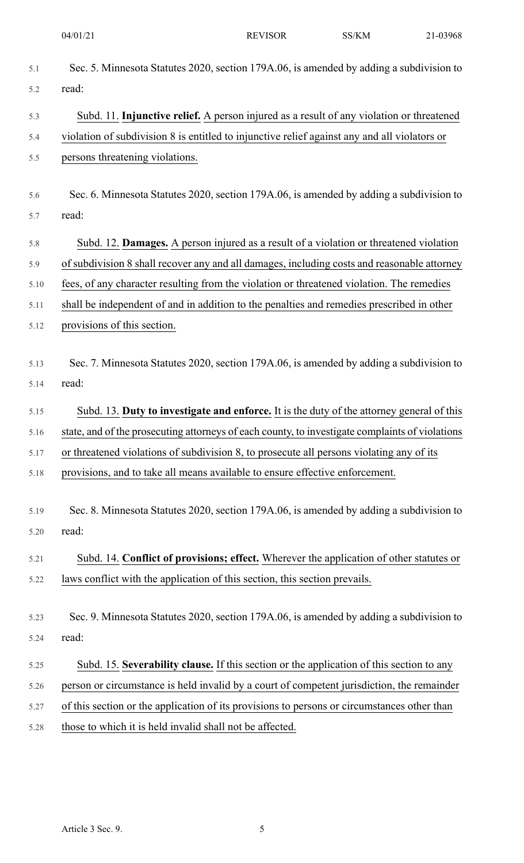| Sec. 5. Minnesota Statutes 2020, section 179A.06, is amended by adding a subdivision to         |
|-------------------------------------------------------------------------------------------------|
| read:                                                                                           |
| Subd. 11. Injunctive relief. A person injured as a result of any violation or threatened        |
| violation of subdivision 8 is entitled to injunctive relief against any and all violators or    |
| persons threatening violations.                                                                 |
| Sec. 6. Minnesota Statutes 2020, section 179A.06, is amended by adding a subdivision to         |
| read:                                                                                           |
| Subd. 12. Damages. A person injured as a result of a violation or threatened violation          |
| of subdivision 8 shall recover any and all damages, including costs and reasonable attorney     |
| fees, of any character resulting from the violation or threatened violation. The remedies       |
| shall be independent of and in addition to the penalties and remedies prescribed in other       |
| provisions of this section.                                                                     |
| Sec. 7. Minnesota Statutes 2020, section 179A.06, is amended by adding a subdivision to         |
| read:                                                                                           |
| Subd. 13. Duty to investigate and enforce. It is the duty of the attorney general of this       |
| state, and of the prosecuting attorneys of each county, to investigate complaints of violations |
| or threatened violations of subdivision 8, to prosecute all persons violating any of its        |
| provisions, and to take all means available to ensure effective enforcement.                    |
| Sec. 8. Minnesota Statutes 2020, section 179A.06, is amended by adding a subdivision to         |
| read:                                                                                           |
| Subd. 14. Conflict of provisions; effect. Wherever the application of other statutes or         |
| laws conflict with the application of this section, this section prevails.                      |
| Sec. 9. Minnesota Statutes 2020, section 179A.06, is amended by adding a subdivision to         |
| read:                                                                                           |
| Subd. 15. Severability clause. If this section or the application of this section to any        |
| person or circumstance is held invalid by a court of competent jurisdiction, the remainder      |
| of this section or the application of its provisions to persons or circumstances other than     |
| those to which it is held invalid shall not be affected.                                        |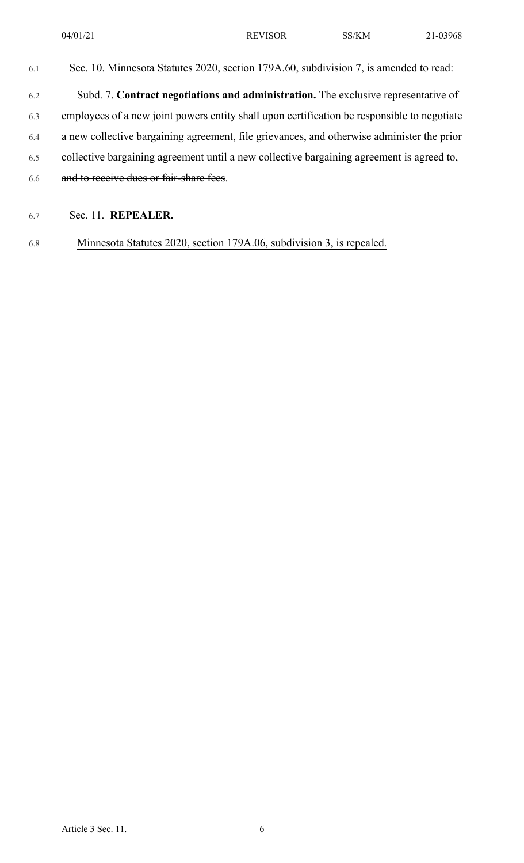| 6.1 | Sec. 10. Minnesota Statutes 2020, section 179A.60, subdivision 7, is amended to read:       |
|-----|---------------------------------------------------------------------------------------------|
| 6.2 | Subd. 7. Contract negotiations and administration. The exclusive representative of          |
| 6.3 | employees of a new joint powers entity shall upon certification be responsible to negotiate |
| 6.4 | a new collective bargaining agreement, file grievances, and otherwise administer the prior  |
| 6.5 | collective bargaining agreement until a new collective bargaining agreement is agreed to.   |
| 6.6 | and to receive dues or fair-share fees.                                                     |
|     |                                                                                             |

## 6.7 Sec. 11. **REPEALER.**

6.8 Minnesota Statutes 2020, section 179A.06, subdivision 3, is repealed.